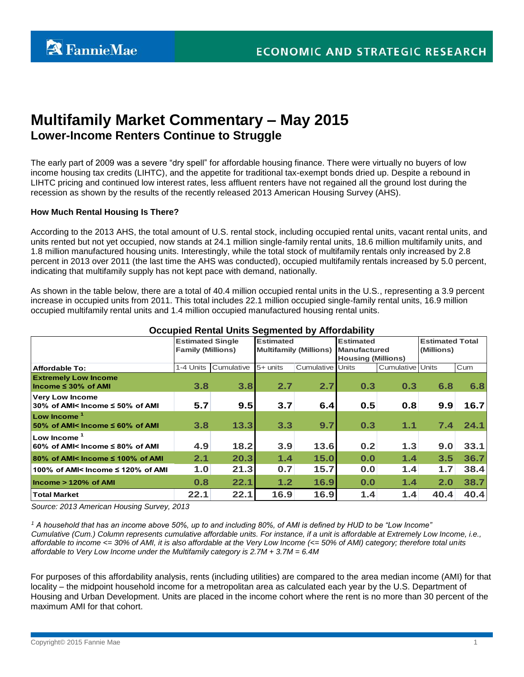# **Multifamily Market Commentary – May 2015 Lower-Income Renters Continue to Struggle**

The early part of 2009 was a severe "dry spell" for affordable housing finance. There were virtually no buyers of low income housing tax credits (LIHTC), and the appetite for traditional tax-exempt bonds dried up. Despite a rebound in LIHTC pricing and continued low interest rates, less affluent renters have not regained all the ground lost during the recession as shown by the results of the recently released 2013 American Housing Survey (AHS).

## **How Much Rental Housing Is There?**

According to the 2013 AHS, the total amount of U.S. rental stock, including occupied rental units, vacant rental units, and units rented but not yet occupied, now stands at 24.1 million single-family rental units, 18.6 million multifamily units, and 1.8 million manufactured housing units. Interestingly, while the total stock of multifamily rentals only increased by 2.8 percent in 2013 over 2011 (the last time the AHS was conducted), occupied multifamily rentals increased by 5.0 percent, indicating that multifamily supply has not kept pace with demand, nationally.

As shown in the table below, there are a total of 40.4 million occupied rental units in the U.S., representing a 3.9 percent increase in occupied units from 2011. This total includes 22.1 million occupied single-family rental units, 16.9 million occupied multifamily rental units and 1.4 million occupied manufactured housing rental units.

| Occupica Itelital Units Ocgiliented by AllOHability                |                                                     |            |                                                                |                  |                           |                         |                                      |      |
|--------------------------------------------------------------------|-----------------------------------------------------|------------|----------------------------------------------------------------|------------------|---------------------------|-------------------------|--------------------------------------|------|
|                                                                    | <b>Estimated Single</b><br><b>Family (Millions)</b> |            | <b>Estimated</b><br><b>Multifamily (Millions) Manufactured</b> |                  | <b>Estimated</b>          |                         | <b>Estimated Total</b><br>(Millions) |      |
|                                                                    |                                                     |            |                                                                |                  | <b>Housing (Millions)</b> |                         |                                      |      |
| Affordable To:                                                     | 1-4 Units                                           | Cumulative | $5+$ units                                                     | Cumulative Units |                           | <b>Cumulative Units</b> |                                      | Cum  |
| <b>Extremely Low Income</b><br>Income $\leq 30\%$ of AMI           | 3.8                                                 | 3.8        | 2.7                                                            | 2.7              | 0.3                       | 0.3                     | 6.8                                  | 6.8  |
| <b>Very Low Income</b><br>$30\%$ of AMI< Income $\leq 50\%$ of AMI | 5.7                                                 | 9.5        | 3.7                                                            | 6.4              | 0.5                       | 0.8                     | 9.9                                  | 16.7 |
| Low Income $1$<br>$150\%$ of AMI< Income $\leq 60\%$ of AMI        | 3.8                                                 | 13.3       | 3.3                                                            | 9.7              | 0.3                       | 1.1                     | 7.4                                  | 24.1 |
| Low Income $1$<br>$60\%$ of AMI< Income $\leq 80\%$ of AMI         | 4.9                                                 | 18.2       | 3.9                                                            | 13.6             | 0.2                       | 1.3                     | 9.0                                  | 33.1 |
| $80\%$ of AMI< Income $\leq 100\%$ of AMI                          | 2.1                                                 | 20.3       | 1.4                                                            | 15.0             | 0.0                       | 1.4                     | 3.5                                  | 36.7 |
| 100% of AMI< Income $\leq$ 120% of AMI                             | 1.0                                                 | 21.3       | 0.7                                                            | 15.7             | 0.0                       | 1.4                     | 1.7                                  | 38.4 |
| $Income > 120%$ of AMI                                             | 0.8                                                 | 22.1       | 1.2                                                            | 16.9             | 0.0                       | 1.4                     | 2.0                                  | 38.7 |
| <b>Total Market</b>                                                | 22.1                                                | 22.1       | 16.9                                                           | 16.9             | 1.4                       | 1.4                     | 40.4                                 | 40.4 |

## **Occupied Rental Units Segmented by Affordability**

*Source: 2013 American Housing Survey, 2013* 

*<sup>1</sup> A household that has an income above 50%, up to and including 80%, of AMI is defined by HUD to be "Low Income" Cumulative (Cum.) Column represents cumulative affordable units. For instance, if a unit is affordable at Extremely Low Income, i.e., affordable to income <= 30% of AMI, it is also affordable at the Very Low Income (<= 50% of AMI) category; therefore total units affordable to Very Low Income under the Multifamily category is 2.7M + 3.7M = 6.4M* 

For purposes of this affordability analysis, rents (including utilities) are compared to the area median income (AMI) for that locality – the midpoint household income for a metropolitan area as calculated each year by the U.S. Department of Housing and Urban Development. Units are placed in the income cohort where the rent is no more than 30 percent of the maximum AMI for that cohort.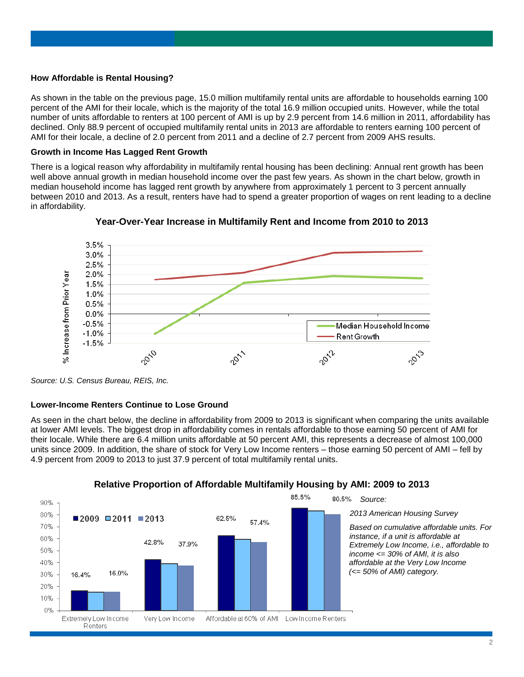## **How Affordable is Rental Housing?**

As shown in the table on the previous page, 15.0 million multifamily rental units are affordable to households earning 100 percent of the AMI for their locale, which is the majority of the total 16.9 million occupied units. However, while the total number of units affordable to renters at 100 percent of AMI is up by 2.9 percent from 14.6 million in 2011, affordability has declined. Only 88.9 percent of occupied multifamily rental units in 2013 are affordable to renters earning 100 percent of AMI for their locale, a decline of 2.0 percent from 2011 and a decline of 2.7 percent from 2009 AHS results.

### **Growth in Income Has Lagged Rent Growth**

There is a logical reason why affordability in multifamily rental housing has been declining: Annual rent growth has been well above annual growth in median household income over the past few years. As shown in the chart below, growth in median household income has lagged rent growth by anywhere from approximately 1 percent to 3 percent annually between 2010 and 2013. As a result, renters have had to spend a greater proportion of wages on rent leading to a decline in affordability.



**Year-Over-Year Increase in Multifamily Rent and Income from 2010 to 2013**

*Source: U.S. Census Bureau, REIS, Inc.*

## **Lower-Income Renters Continue to Lose Ground**

As seen in the chart below, the decline in affordability from 2009 to 2013 is significant when comparing the units available at lower AMI levels. The biggest drop in affordability comes in rentals affordable to those earning 50 percent of AMI for their locale. While there are 6.4 million units affordable at 50 percent AMI, this represents a decrease of almost 100,000 units since 2009. In addition, the share of stock for Very Low Income renters – those earning 50 percent of AMI – fell by 4.9 percent from 2009 to 2013 to just 37.9 percent of total multifamily rental units.



# **Relative Proportion of Affordable Multifamily Housing by AMI: 2009 to 2013**